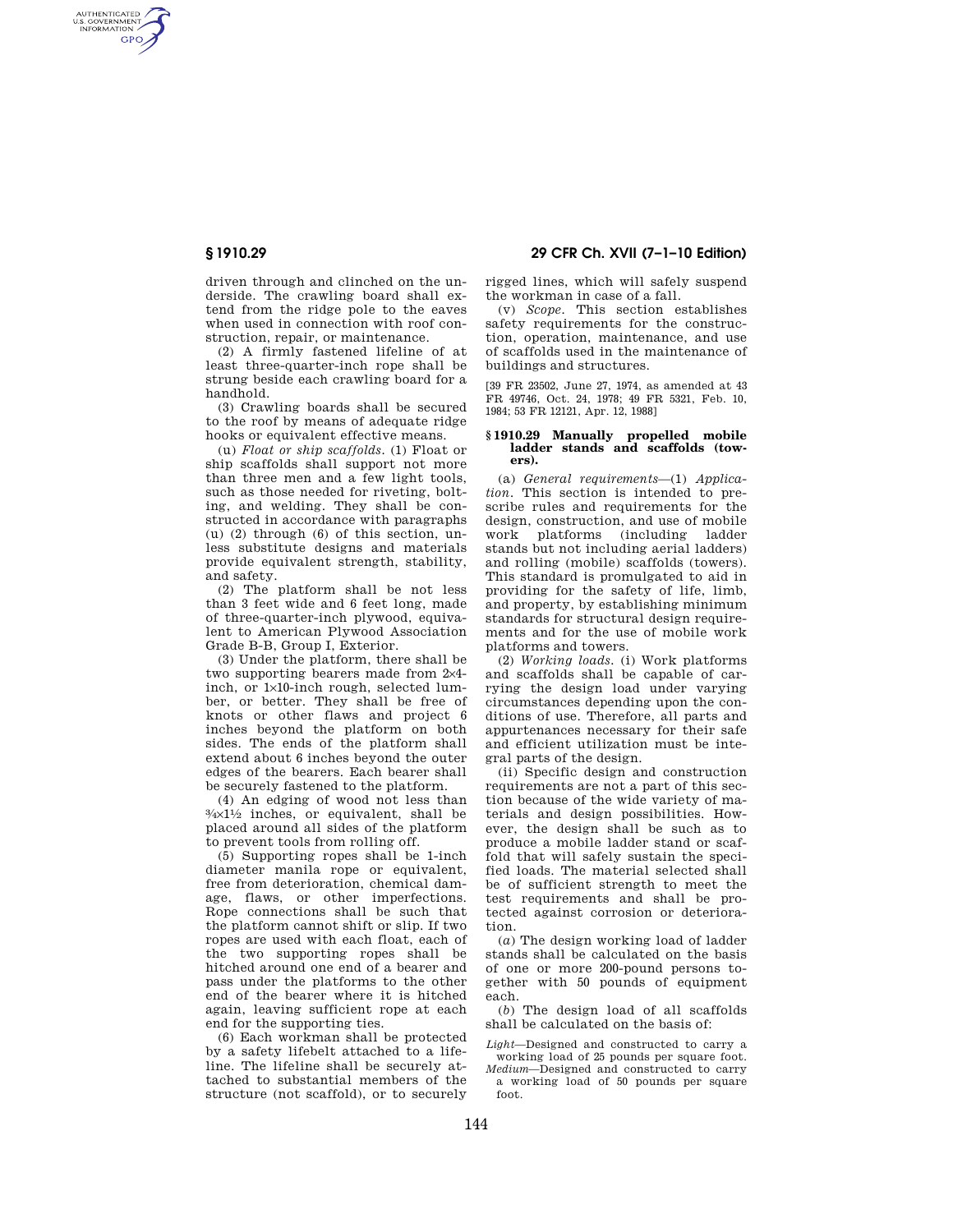AUTHENTICATED<br>U.S. GOVERNMENT<br>INFORMATION **GPO** 

> driven through and clinched on the underside. The crawling board shall extend from the ridge pole to the eaves when used in connection with roof construction, repair, or maintenance.

> (2) A firmly fastened lifeline of at least three-quarter-inch rope shall be strung beside each crawling board for a handhold.

> (3) Crawling boards shall be secured to the roof by means of adequate ridge hooks or equivalent effective means.

> (u) *Float or ship scaffolds.* (1) Float or ship scaffolds shall support not more than three men and a few light tools, such as those needed for riveting, bolting, and welding. They shall be constructed in accordance with paragraphs (u) (2) through (6) of this section, unless substitute designs and materials provide equivalent strength, stability, and safety.

> (2) The platform shall be not less than 3 feet wide and 6 feet long, made of three-quarter-inch plywood, equivalent to American Plywood Association Grade B-B, Group I, Exterior.

(3) Under the platform, there shall be two supporting bearers made from 2×4 inch, or 1×10-inch rough, selected lumber, or better. They shall be free of knots or other flaws and project 6 inches beyond the platform on both sides. The ends of the platform shall extend about 6 inches beyond the outer edges of the bearers. Each bearer shall be securely fastened to the platform.

(4) An edging of wood not less than  $\frac{3}{4} \times 1\frac{1}{2}$  inches, or equivalent, shall be placed around all sides of the platform to prevent tools from rolling off.

(5) Supporting ropes shall be 1-inch diameter manila rope or equivalent, free from deterioration, chemical damage, flaws, or other imperfections. Rope connections shall be such that the platform cannot shift or slip. If two ropes are used with each float, each of the two supporting ropes shall be hitched around one end of a bearer and pass under the platforms to the other end of the bearer where it is hitched again, leaving sufficient rope at each end for the supporting ties.

(6) Each workman shall be protected by a safety lifebelt attached to a lifeline. The lifeline shall be securely attached to substantial members of the structure (not scaffold), or to securely

**§ 1910.29 29 CFR Ch. XVII (7–1–10 Edition)** 

rigged lines, which will safely suspend the workman in case of a fall.

(v) *Scope.* This section establishes safety requirements for the construction, operation, maintenance, and use of scaffolds used in the maintenance of buildings and structures.

[39 FR 23502, June 27, 1974, as amended at 43 FR 49746, Oct. 24, 1978; 49 FR 5321, Feb. 10, 1984; 53 FR 12121, Apr. 12, 1988]

### **§ 1910.29 Manually propelled mobile ladder stands and scaffolds (towers).**

(a) *General requirements*—(1) *Application.* This section is intended to prescribe rules and requirements for the design, construction, and use of mobile<br>work platforms (including ladder work platforms (including stands but not including aerial ladders) and rolling (mobile) scaffolds (towers). This standard is promulgated to aid in providing for the safety of life, limb, and property, by establishing minimum standards for structural design requirements and for the use of mobile work platforms and towers.

(2) *Working loads.* (i) Work platforms and scaffolds shall be capable of carrying the design load under varying circumstances depending upon the conditions of use. Therefore, all parts and appurtenances necessary for their safe and efficient utilization must be integral parts of the design.

(ii) Specific design and construction requirements are not a part of this section because of the wide variety of materials and design possibilities. However, the design shall be such as to produce a mobile ladder stand or scaffold that will safely sustain the specified loads. The material selected shall be of sufficient strength to meet the test requirements and shall be protected against corrosion or deterioration.

(*a*) The design working load of ladder stands shall be calculated on the basis of one or more 200-pound persons together with 50 pounds of equipment each.

(*b*) The design load of all scaffolds shall be calculated on the basis of:

*Light*—Designed and constructed to carry a working load of 25 pounds per square foot.

*Medium*—Designed and constructed to carry a working load of 50 pounds per square foot.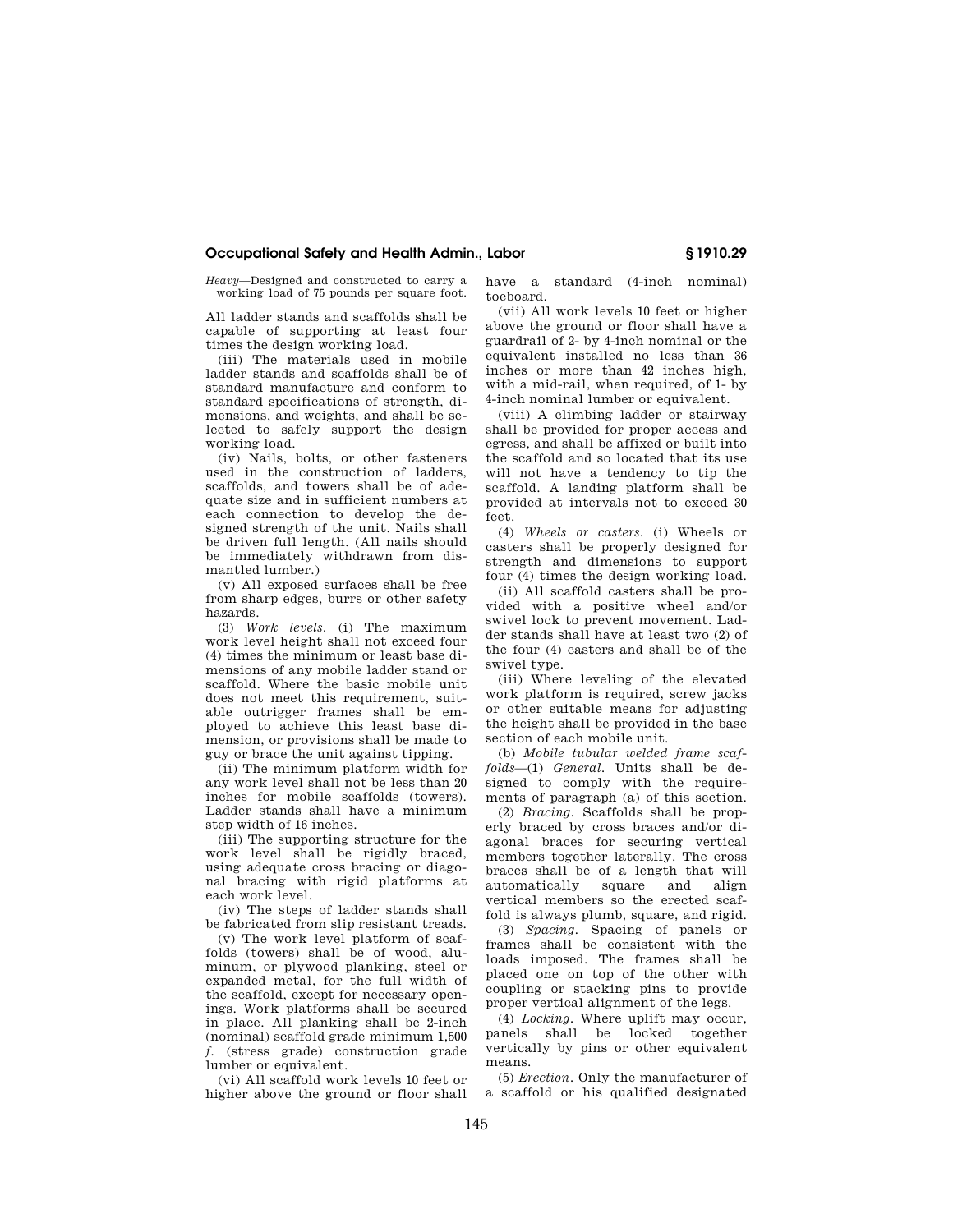# **Occupational Safety and Health Admin., Labor § 1910.29**

*Heavy*—Designed and constructed to carry a working load of 75 pounds per square foot.

All ladder stands and scaffolds shall be capable of supporting at least four times the design working load.

(iii) The materials used in mobile ladder stands and scaffolds shall be of standard manufacture and conform to standard specifications of strength, dimensions, and weights, and shall be selected to safely support the design working load.

(iv) Nails, bolts, or other fasteners used in the construction of ladders, scaffolds, and towers shall be of adequate size and in sufficient numbers at each connection to develop the designed strength of the unit. Nails shall be driven full length. (All nails should be immediately withdrawn from dismantled lumber.)

(v) All exposed surfaces shall be free from sharp edges, burrs or other safety hazards.

(3) *Work levels.* (i) The maximum work level height shall not exceed four (4) times the minimum or least base dimensions of any mobile ladder stand or scaffold. Where the basic mobile unit does not meet this requirement, suitable outrigger frames shall be employed to achieve this least base dimension, or provisions shall be made to guy or brace the unit against tipping.

(ii) The minimum platform width for any work level shall not be less than 20 inches for mobile scaffolds (towers). Ladder stands shall have a minimum step width of 16 inches.

(iii) The supporting structure for the work level shall be rigidly braced, using adequate cross bracing or diagonal bracing with rigid platforms at each work level.

(iv) The steps of ladder stands shall be fabricated from slip resistant treads.

(v) The work level platform of scaffolds (towers) shall be of wood, aluminum, or plywood planking, steel or expanded metal, for the full width of the scaffold, except for necessary openings. Work platforms shall be secured in place. All planking shall be 2-inch (nominal) scaffold grade minimum 1,500 *f.* (stress grade) construction grade lumber or equivalent.

(vi) All scaffold work levels 10 feet or higher above the ground or floor shall have a standard (4-inch nominal) toeboard.

(vii) All work levels 10 feet or higher above the ground or floor shall have a guardrail of 2- by 4-inch nominal or the equivalent installed no less than 36 inches or more than 42 inches high, with a mid-rail, when required, of 1- by 4-inch nominal lumber or equivalent.

(viii) A climbing ladder or stairway shall be provided for proper access and egress, and shall be affixed or built into the scaffold and so located that its use will not have a tendency to tip the scaffold. A landing platform shall be provided at intervals not to exceed 30 feet.

(4) *Wheels or casters.* (i) Wheels or casters shall be properly designed for strength and dimensions to support four (4) times the design working load.

(ii) All scaffold casters shall be provided with a positive wheel and/or swivel lock to prevent movement. Ladder stands shall have at least two (2) of the four (4) casters and shall be of the swivel type.

(iii) Where leveling of the elevated work platform is required, screw jacks or other suitable means for adjusting the height shall be provided in the base section of each mobile unit.

(b) *Mobile tubular welded frame scaffolds*—(1) *General.* Units shall be designed to comply with the requirements of paragraph (a) of this section.

(2) *Bracing.* Scaffolds shall be properly braced by cross braces and/or diagonal braces for securing vertical members together laterally. The cross braces shall be of a length that will automatically square and align vertical members so the erected scaffold is always plumb, square, and rigid.

(3) *Spacing.* Spacing of panels or frames shall be consistent with the loads imposed. The frames shall be placed one on top of the other with coupling or stacking pins to provide proper vertical alignment of the legs.

(4) *Locking.* Where uplift may occur, panels shall be locked together vertically by pins or other equivalent means.

(5) *Erection.* Only the manufacturer of a scaffold or his qualified designated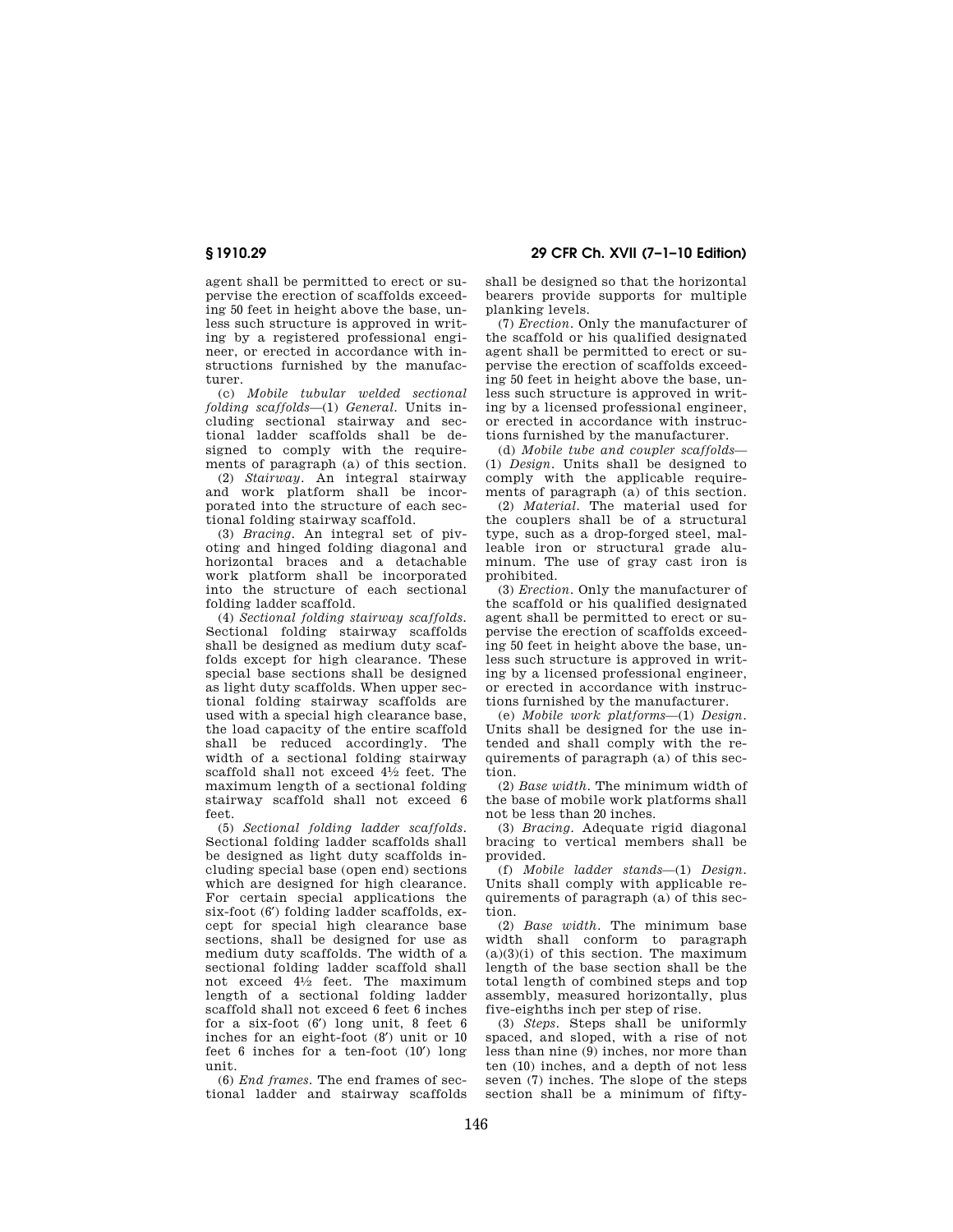agent shall be permitted to erect or supervise the erection of scaffolds exceeding 50 feet in height above the base, unless such structure is approved in writing by a registered professional engineer, or erected in accordance with instructions furnished by the manufacturer.

(c) *Mobile tubular welded sectional folding scaffolds*—(1) *General.* Units including sectional stairway and sectional ladder scaffolds shall be designed to comply with the requirements of paragraph (a) of this section.

(2) *Stairway.* An integral stairway and work platform shall be incorporated into the structure of each sectional folding stairway scaffold.

(3) *Bracing.* An integral set of pivoting and hinged folding diagonal and horizontal braces and a detachable work platform shall be incorporated into the structure of each sectional folding ladder scaffold.

(4) *Sectional folding stairway scaffolds.*  Sectional folding stairway scaffolds shall be designed as medium duty scaffolds except for high clearance. These special base sections shall be designed as light duty scaffolds. When upper sectional folding stairway scaffolds are used with a special high clearance base, the load capacity of the entire scaffold shall be reduced accordingly. The width of a sectional folding stairway scaffold shall not exceed 41⁄2 feet. The maximum length of a sectional folding stairway scaffold shall not exceed 6 feet.

(5) *Sectional folding ladder scaffolds.*  Sectional folding ladder scaffolds shall be designed as light duty scaffolds including special base (open end) sections which are designed for high clearance. For certain special applications the six-foot (6′) folding ladder scaffolds, except for special high clearance base sections, shall be designed for use as medium duty scaffolds. The width of a sectional folding ladder scaffold shall not exceed 41⁄2 feet. The maximum length of a sectional folding ladder scaffold shall not exceed 6 feet 6 inches for a six-foot (6′) long unit, 8 feet 6 inches for an eight-foot (8′) unit or 10 feet 6 inches for a ten-foot (10′) long unit.

(6) *End frames.* The end frames of sectional ladder and stairway scaffolds

**§ 1910.29 29 CFR Ch. XVII (7–1–10 Edition)** 

shall be designed so that the horizontal bearers provide supports for multiple planking levels.

(7) *Erection.* Only the manufacturer of the scaffold or his qualified designated agent shall be permitted to erect or supervise the erection of scaffolds exceeding 50 feet in height above the base, unless such structure is approved in writing by a licensed professional engineer, or erected in accordance with instructions furnished by the manufacturer.

(d) *Mobile tube and coupler scaffolds*— (1) *Design.* Units shall be designed to comply with the applicable requirements of paragraph (a) of this section.

(2) *Material.* The material used for the couplers shall be of a structural type, such as a drop-forged steel, malleable iron or structural grade aluminum. The use of gray cast iron is prohibited.

(3) *Erection.* Only the manufacturer of the scaffold or his qualified designated agent shall be permitted to erect or supervise the erection of scaffolds exceeding 50 feet in height above the base, unless such structure is approved in writing by a licensed professional engineer, or erected in accordance with instructions furnished by the manufacturer.

(e) *Mobile work platforms*—(1) *Design.*  Units shall be designed for the use intended and shall comply with the requirements of paragraph (a) of this section.

(2) *Base width.* The minimum width of the base of mobile work platforms shall not be less than 20 inches.

(3) *Bracing.* Adequate rigid diagonal bracing to vertical members shall be provided.

(f) *Mobile ladder stands*—(1) *Design.*  Units shall comply with applicable requirements of paragraph (a) of this section.

(2) *Base width.* The minimum base width shall conform to paragraph  $(a)(3)(i)$  of this section. The maximum length of the base section shall be the total length of combined steps and top assembly, measured horizontally, plus five-eighths inch per step of rise.

(3) *Steps.* Steps shall be uniformly spaced, and sloped, with a rise of not less than nine (9) inches, nor more than ten (10) inches, and a depth of not less seven (7) inches. The slope of the steps section shall be a minimum of fifty-